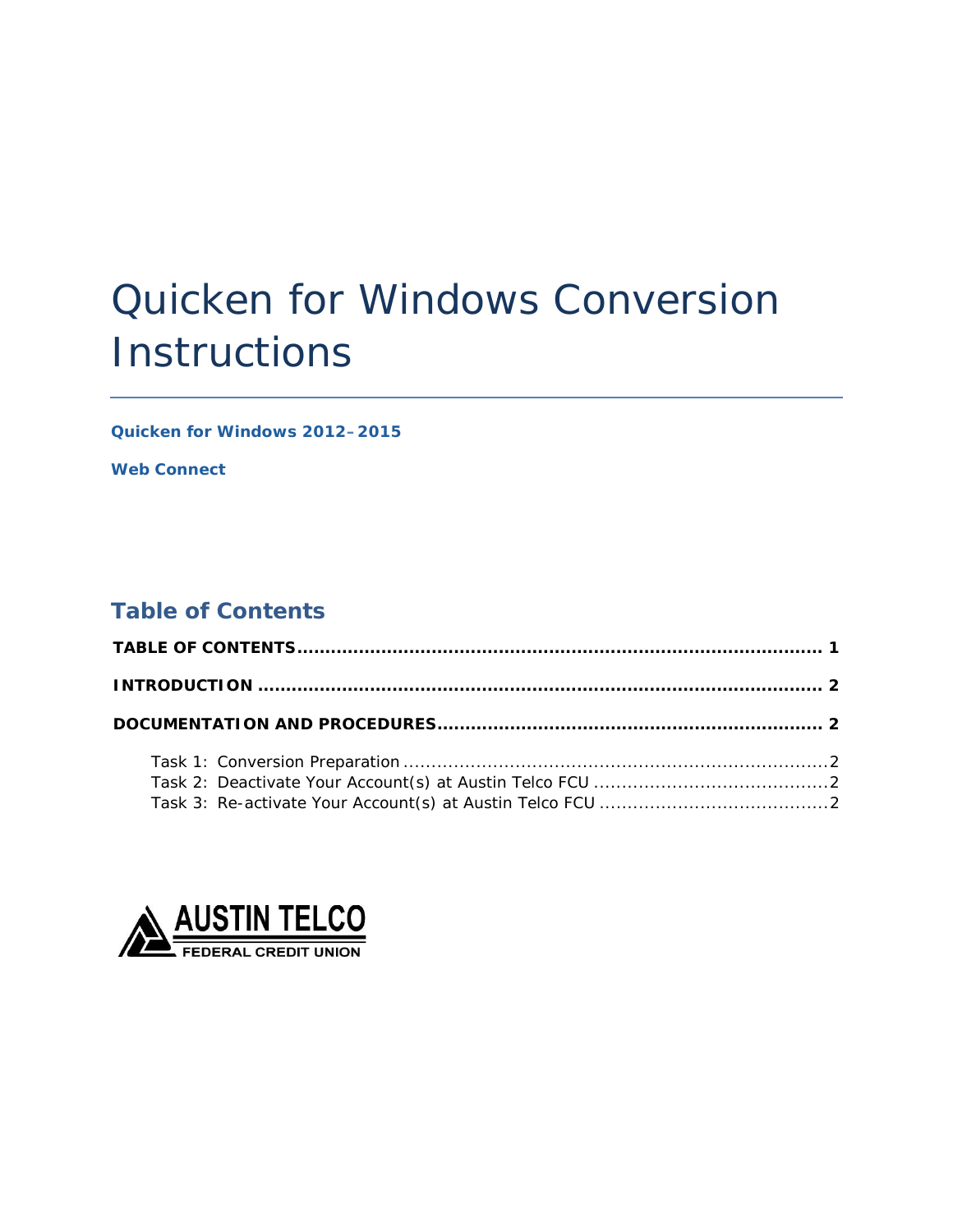# Quicken for Windows Conversion **Instructions**

 *Quicken for Windows 2012–2015* 

 *Web Connect* 

# <span id="page-0-0"></span>**Table of Contents**

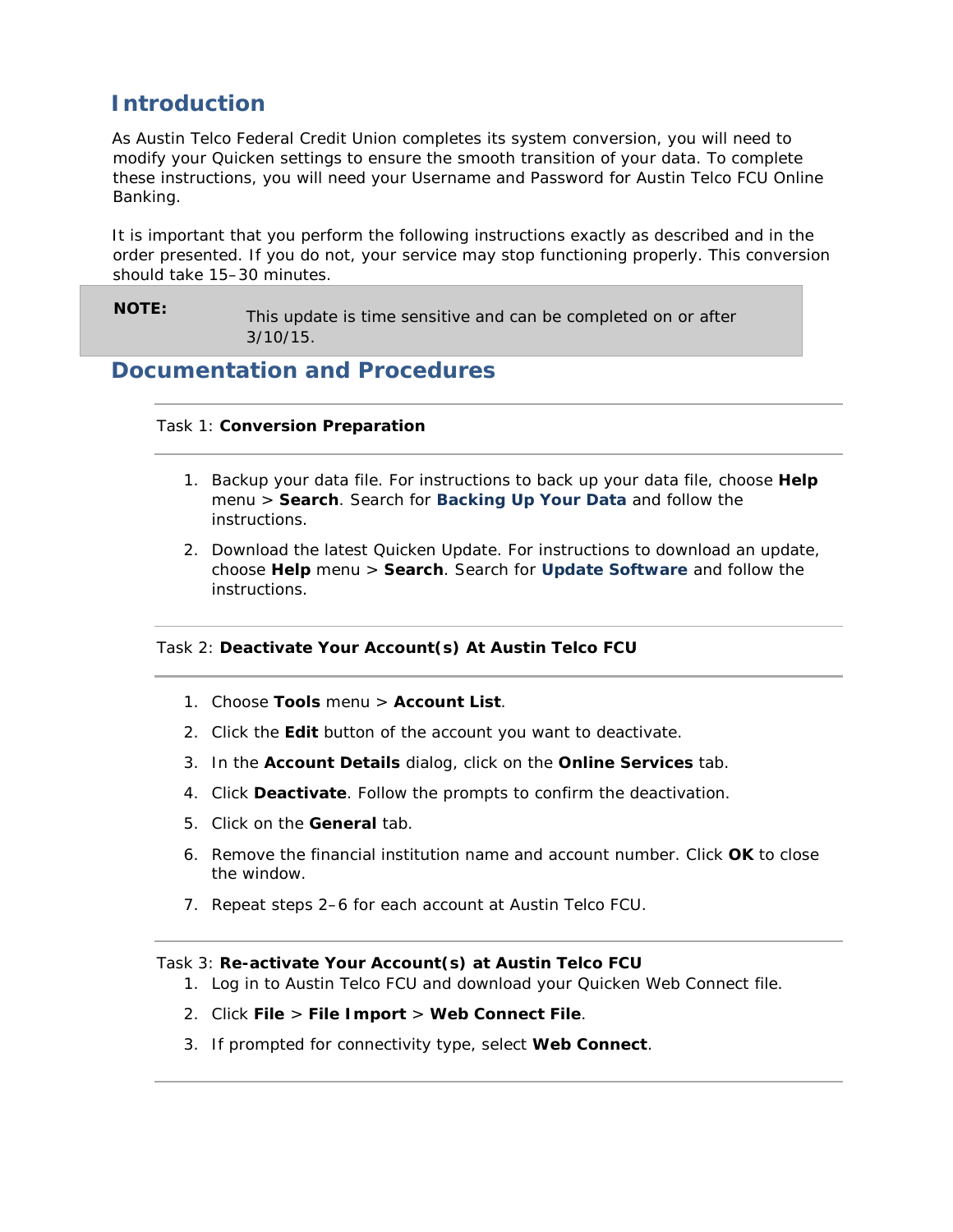# <span id="page-1-0"></span>**Introduction**

 As Austin Telco Federal Credit Union completes its system conversion, you will need to modify your Quicken settings to ensure the smooth transition of your data. To complete these instructions, you will need your Username and Password for Austin Telco FCU Online Banking.

 It is important that you perform the following instructions exactly as described and in the order presented. If you do not, your service may stop functioning properly. This conversion should take 15–30 minutes.

 **NOTE:** This update is time sensitive and can be completed on or after 3/10/15.

## <span id="page-1-2"></span><span id="page-1-1"></span>**Documentation and Procedures**

### Task 1: **Conversion Preparation**

- 1. Backup your data file. For instructions to back up your data file, choose **Help**  menu > **Search**. Search for *Backing Up Your Data* and follow the instructions.
- 2. Download the latest Quicken Update. For instructions to download an update, choose **Help** menu > **Search**. Search for *Update Software* and follow the instructions.

#### <span id="page-1-3"></span> Task 2: **Deactivate Your Account(s) At Austin Telco FCU**

- 1. Choose **Tools** menu > **Account List**.
- 2. Click the **Edit** button of the account you want to deactivate.
- 3. In the **Account Details** dialog, click on the **Online Services** tab.
- 4. Click **Deactivate**. Follow the prompts to confirm the deactivation.
- 5. Click on the **General** tab.
- 6. Remove the financial institution name and account number. Click **OK** to close the window.
- 7. Repeat steps 2–6 for each account at Austin Telco FCU.

#### <span id="page-1-4"></span> Task 3: **Re-activate Your Account(s) at Austin Telco FCU**

- 1. Log in to Austin Telco FCU and download your Quicken Web Connect file.
- 2. Click **File** > **File Import** > **Web Connect File**.
- 3. If prompted for connectivity type, select **Web Connect**.